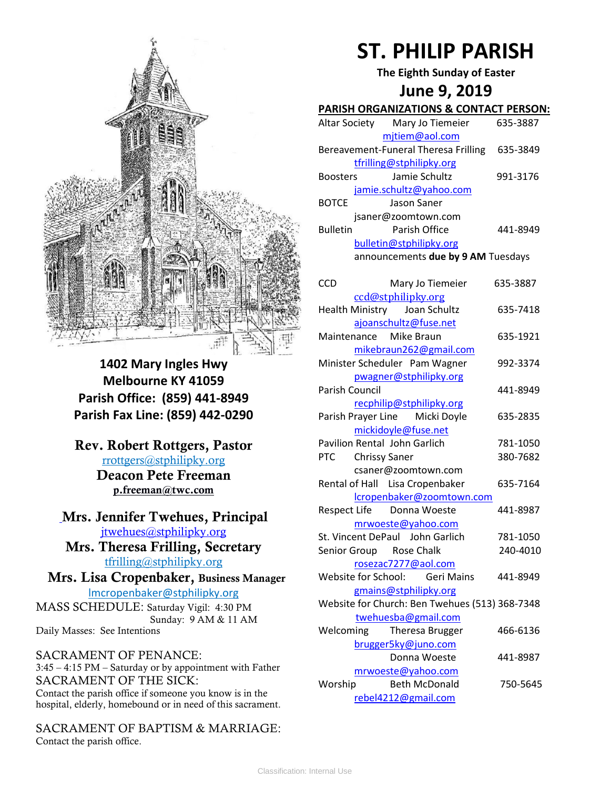

**1402 Mary Ingles Hwy Melbourne KY 41059 Parish Office: (859) 441-8949 Parish Fax Line: (859) 442-0290**

**Rev. Robert Rottgers, Pastor**  [rrottgers@stphilipky.org](mailto:rrottgers@stphilipky.org) **Deacon Pete Freeman p.freeman@twc.com**

### **Mrs. Jennifer Twehues, Principal** [jtwehues@stphilipky.org](mailto:jtwehues@stphilipky.org)

**Mrs. Theresa Frilling, Secretary**  [tfrilling@stphilipky.org](mailto:tfrilling@stphilipky.org)

 **Mrs. Lisa Cropenbaker, Business Manager**  lmcropenbaker@stphilipky.org

MASS SCHEDULE: Saturday Vigil: 4:30 PM Sunday: 9 AM & 11 AM Daily Masses: See Intentions

SACRAMENT OF PENANCE: 3:45 – 4:15 PM – Saturday or by appointment with Father SACRAMENT OF THE SICK: Contact the parish office if someone you know is in the hospital, elderly, homebound or in need of this sacrament.

SACRAMENT OF BAPTISM & MARRIAGE: Contact the parish office.

# **ST. PHILIP PARISH**

**The Eighth Sunday of Easter**

## **June 9, 2019**

#### **PARISH ORGANIZATIONS & CONTACT PERSON:**

|                 | Altar Society Mary Jo Tiemeier       | 635-3887 |
|-----------------|--------------------------------------|----------|
|                 | mjtiem@aol.com                       |          |
|                 | Bereavement-Funeral Theresa Frilling | 635-3849 |
|                 | tfrilling@stphilipky.org             |          |
| <b>Boosters</b> | Jamie Schultz                        | 991-3176 |
|                 | jamie.schultz@yahoo.com              |          |
| <b>BOTCE</b>    | Jason Saner                          |          |
|                 | jsaner@zoomtown.com                  |          |
| <b>Bulletin</b> | Parish Office                        | 441-8949 |
|                 | bulletin@stphilipky.org              |          |
|                 | announcements due by 9 AM Tuesdays   |          |

| CCD            | Mary Jo Tiemeier                               | 635-3887 |
|----------------|------------------------------------------------|----------|
|                | ccd@stphilipky.org                             |          |
|                | Health Ministry Joan Schultz                   | 635-7418 |
|                | ajoanschultz@fuse.net                          |          |
|                | Maintenance Mike Braun                         | 635-1921 |
|                | mikebraun262@gmail.com                         |          |
|                | Minister Scheduler Pam Wagner                  | 992-3374 |
|                | pwagner@stphilipky.org                         |          |
| Parish Council |                                                | 441-8949 |
|                | recphilip@stphilipky.org                       |          |
|                | Parish Prayer Line Micki Doyle                 | 635-2835 |
|                | mickidoyle@fuse.net                            |          |
|                | Pavilion Rental John Garlich                   | 781-1050 |
|                | PTC Chrissy Saner                              | 380-7682 |
|                | csaner@zoomtown.com                            |          |
|                | Rental of Hall Lisa Cropenbaker                | 635-7164 |
|                | lcropenbaker@zoomtown.com                      |          |
|                | Respect Life Donna Woeste                      | 441-8987 |
|                | mrwoeste@yahoo.com                             |          |
|                | St. Vincent DePaul John Garlich                | 781-1050 |
|                | Senior Group Rose Chalk                        | 240-4010 |
|                | rosezac7277@aol.com                            |          |
|                | Website for School: Geri Mains                 | 441-8949 |
|                | gmains@stphilipky.org                          |          |
|                | Website for Church: Ben Twehues (513) 368-7348 |          |
|                | twehuesba@gmail.com                            |          |
|                | Welcoming Theresa Brugger                      | 466-6136 |
|                | brugger5ky@juno.com                            |          |
|                | Donna Woeste                                   | 441-8987 |
|                | mrwoeste@yahoo.com                             |          |
| Worship        | <b>Beth McDonald</b>                           | 750-5645 |
|                | rebel4212@gmail.com                            |          |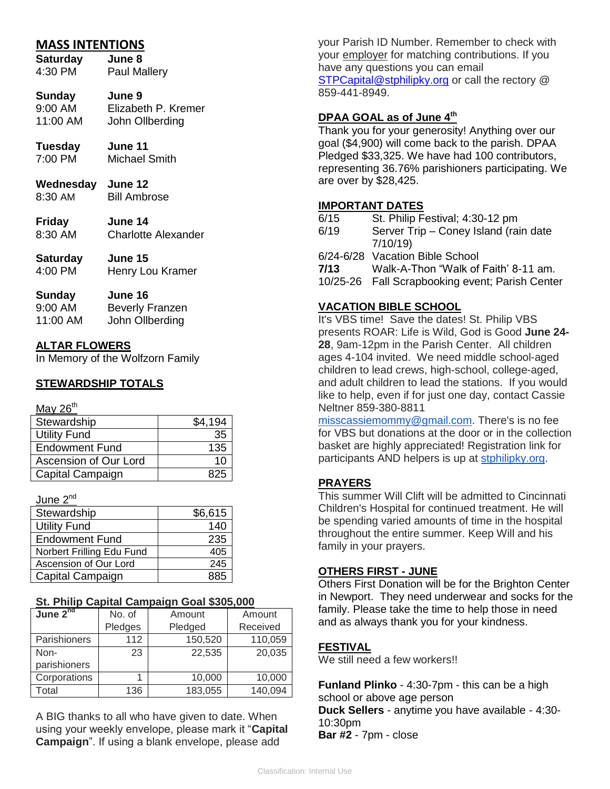#### **MASS INTENTIONS**

| <b>Saturday</b> | June 8              |
|-----------------|---------------------|
| 4:30 PM         | <b>Paul Mallery</b> |
| <b>Sunday</b>   | June 9              |

#### 9:00 AM Elizabeth P. Kremer 11:00 AM John Ollberding

- **Tuesday June 11** 7:00 PM Michael Smith
- **Wednesday June 12** 8:30 AM Bill Ambrose
- **Friday June 14** 8:30 AM Charlotte Alexander
- **Saturday June 15** 4:00 PM Henry Lou Kramer

# **Sunday June 16**

| $9:00 \, \text{AM}$ | <b>Beverly Franzen</b> |
|---------------------|------------------------|
| 11:00 AM            | John Ollberding        |

#### **ALTAR FLOWERS**

In Memory of the Wolfzorn Family

#### **STEWARDSHIP TOTALS**

#### May  $26<sup>th</sup>$

| Stewardship           | \$4.194 |
|-----------------------|---------|
| <b>Utility Fund</b>   | 35      |
| <b>Endowment Fund</b> | 135     |
| Ascension of Our Lord | 10      |
| Capital Campaign      |         |

#### June 2<sup>nd</sup>

| Stewardship               | \$6,615 |
|---------------------------|---------|
| <b>Utility Fund</b>       | 140     |
| <b>Endowment Fund</b>     | 235     |
| Norbert Frilling Edu Fund | 405     |
| Ascension of Our Lord     | 245     |
| Capital Campaign          | 885     |

#### **St. Philip Capital Campaign Goal \$305,000**

| June $2^{nd}$ | No. of  | Amount  | Amount   |
|---------------|---------|---------|----------|
|               | Pledges | Pledged | Received |
| Parishioners  | 112     | 150,520 | 110,059  |
| Non-          | 23      | 22,535  | 20,035   |
| parishioners  |         |         |          |
| Corporations  |         | 10,000  | 10,000   |
| Total         | 136     | 183,055 | 140,094  |

A BIG thanks to all who have given to date. When using your weekly envelope, please mark it "**Capital Campaign**". If using a blank envelope, please add

your Parish ID Number. Remember to check with your employer for matching contributions. If you have any questions you can email [STPCapital@stphilipky.org](mailto:STPCapital@stphilipky.org) or call the rectory @ 859-441-8949.

#### **DPAA GOAL as of June 4th**

Thank you for your generosity! Anything over our goal (\$4,900) will come back to the parish. DPAA Pledged \$33,325. We have had 100 contributors, representing 36.76% parishioners participating. We are over by \$28,425.

#### **IMPORTANT DATES**

| 6/15 | St. Philip Festival; 4:30-12 pm |
|------|---------------------------------|
|------|---------------------------------|

- 6/19 Server Trip Coney Island (rain date 7/10/19)
- 6/24-6/28 Vacation Bible School
- **7/13** Walk-A-Thon "Walk of Faith' 8-11 am.
- 10/25-26 Fall Scrapbooking event; Parish Center

#### **VACATION BIBLE SCHOOL**

It's VBS time! Save the dates! St. Philip VBS presents ROAR: Life is Wild, God is Good **June 24- 28**, 9am-12pm in the Parish Center. All children ages 4-104 invited. We need middle school-aged children to lead crews, high-school, college-aged, and adult children to lead the stations. If you would like to help, even if for just one day, contact Cassie Neltner 859-380-8811

[misscassiemommy@gmail.com.](mailto:misscassiemommy@gmail.com) There's is no fee for VBS but donations at the door or in the collection basket are highly appreciated! Registration link for participants AND helpers is up at [stphilipky.org.](http://stphilipky.org/)

#### **PRAYERS**

This summer Will Clift will be admitted to Cincinnati Children's Hospital for continued treatment. He will be spending varied amounts of time in the hospital throughout the entire summer. Keep Will and his family in your prayers.

#### **OTHERS FIRST - JUNE**

Others First Donation will be for the Brighton Center in Newport. They need underwear and socks for the family. Please take the time to help those in need and as always thank you for your kindness.

#### **FESTIVAL**

We still need a few workers!!

**Funland Plinko** - 4:30-7pm - this can be a high school or above age person **Duck Sellers** - anytime you have available - 4:30- 10:30pm **Bar #2** - 7pm - close